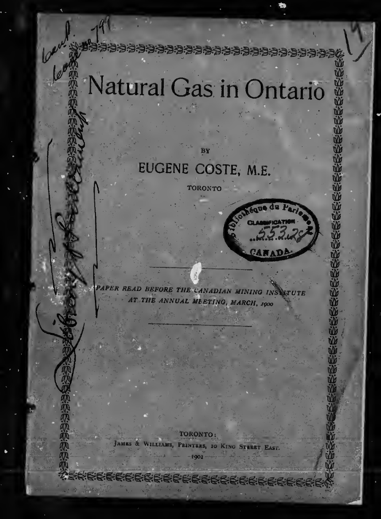# Natural Gas in Ontario

122222222332323232323

## EUGENE COSTE, M.E.

**TORONTO** 



3333

PAPER READ BEFORE THE CANADIAN MINING INSTATUTE AT THE ANNUAL MEETING, MARCH, 1900

**TORONTO:** JAMES & WILLIAMS, PRINTERS, 10 KING STREET EAST.

25.E.E.E.

**BREEBBERE**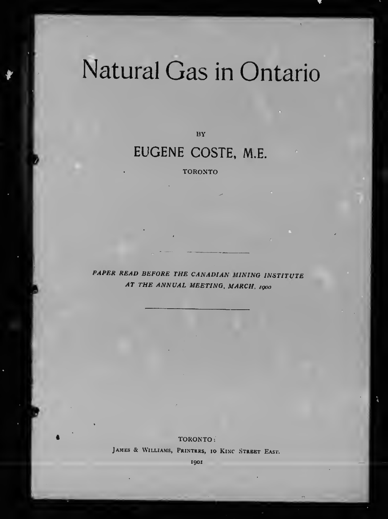# Natural Gas in Ontario

BY

## EUGENE COSTE, M.E.

**TORONTO** 

PAPER READ BEFORE THE CANADIAN MINING INSTITUTE AT THE ANNUAL MEETING, MARCH, 1900

#### TORONTO:

JAMES & WILLIAMS, PRINTERS, 10 KINC STREET EAST.

1901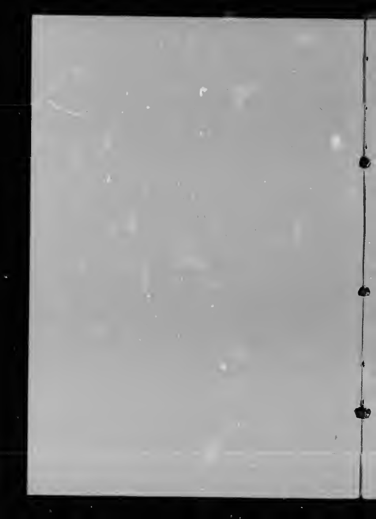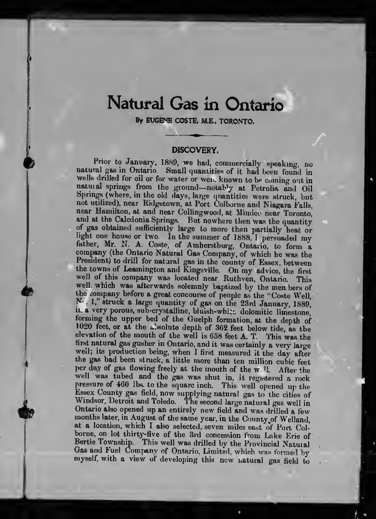## Natural Gas in Ontario

By EUGENE COSTE, M.E., TORONTO.

#### DISCOVERY.

 $\bullet$ 

Prior to January, 1889, we had, commercially speaking, no natural gas in Ontario. Small quantities of it had been found in wells drilled for oil or for water or went known to be coming out in natural springs from the ground—notab'y at Petrolia and Oil Springs (where, in the old days, large quantities were struck, but not utilized), near Ridgetown, at Port Colborne and Niagara Falls. near Hamilton, at and near Collingwood, at Mimicu near Toronto, and at the Caledonia Springs. But nowhere then was the quantity of gas obtained sufficiently large to more than partially heat or light one house or two. In the summer of 1888, I persuaded my father, Mr. N. A. Coste, of Amherstburg, Ontario, to form a company (the Ontario Natural Gas Company, of which he was the President) to drill for natural gas in the county of Essex, between<br>the towns of Leanington and Kingsville. On my advice, the first well of this company was located near Ruthven, Ontario. This well, which was afterwards solemnly baptized by the men bers of the company before a great concourse of people as the "Coste Well, N. 1," struck a large quantity of gas on the 23rd January, 1889, il. a very porous, sub-crystalline, bluish-white dolomitic limestone, forming the upper bed of the Guelph formation, at the depth of 1020 feet, or at the absolute depth of 362 feet below tide, as the elevation of the mouth of the well is 658 feet A. T. This was the first natural gas gusher in Ontario, and it was certainly a very large well; its production being, when <sup>I</sup> first measured it the day after the gas had been struck, <sup>a</sup> little more than ten million cubic feet per day of gas flowing freely at the mouth of the w 11. After the well was tubed and the gas was shut in, it registered <sup>a</sup> rock pressure of 460 lbs. to the square inch. This well opened up the Essex County gas field, now supplying natural gas to the cities of Windsor, Detroit and Toledo. The second large natural gas well in Ontario also opened up an entirely new field and was drilled a few months later, in August of the same year, in the County of Welland, at a location, which I also selected, seven miles east of Port Colborne, on lot thirty-five of the 3rd concession from Lake Erie of Bertie Township. This well was drilled by the Provincial Natural Gas and Fuel Company of Ontario. Limited, which was formed by myself, with a view of developing this new natural gas field to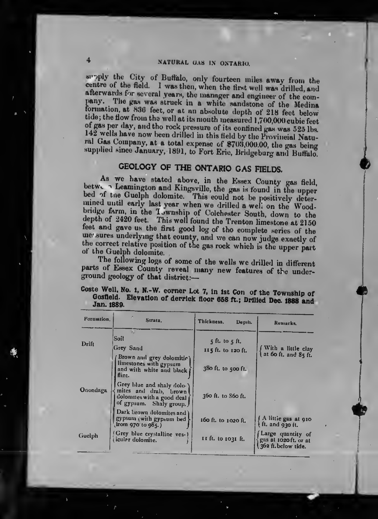supply the City of Buffalo, only fourteen miles away from the centre of the field. <sup>I</sup> was then, when the first well was drilled, and afterwards for several years, the manager and engineer of the company. The gas was struck in a white sandstone of the Medina formation, at 836 feet, or at an absolute depth of 218 feet below<br>tide; the flow from the well at its mouth measured 1,700,000 cubic feet of gas per day, and tho rock pressure of its contined gas was 525 lbs.<br>142 wells have now been drilled in this field by the Provincial Natu-<br>ral Gas Company, at a total expense of \$703,000.00, the gas being supplied since January, 1891, to Fort Erie, Bridgeburg and Buffalo.

GEOLOGY OF THE ONTARIO GAS FIELDS.<br>As we have stated above, in the Essex County gas field, betw. I Leanington and Kingsville, the gas is found in the upper<br>bed of the Guelph dolomite. This could not be positively determined until early last year when we drilled a well on the Woodbridge farm, in the Township of Colchester South, down to the depth of 2420 feet. This well found the Trenton limestone at 2150 feet and gave us the first good user sures underlying that eounty, and we can now judge exactly of the correct relative position of the gas rock which is the upper part<br>of the Guelph dolomite.

The following logs of some of the wells we drilled in different parts of Essex County reveal many new features of the under-ground geology of that district:-

| Formation.      | Strata,                                                                                                        | Thickness.<br>Depth.                     | Remarks.                                                          |
|-----------------|----------------------------------------------------------------------------------------------------------------|------------------------------------------|-------------------------------------------------------------------|
| Drift           | Soil<br>Grey Sand<br>Brown and grey dolomitic)                                                                 | $5$ ft. to $5$ ft.<br>115 ft. to 120 ft. | With a little clay<br>at 60 ft. and 85 ft.                        |
|                 | limestones with gypsum<br>and with white and black<br>flint.                                                   | 380 ft. to 500 ft.                       |                                                                   |
| <b>Onondaga</b> | Grey blue and shaly dolo-)<br>mites and drab, brown<br>dolomites with a good deal<br>of gypsum. Shaly group, J | 360 ft. to 860 ft.                       |                                                                   |
|                 | Dark brown dolomites and<br>gypsum (with gypsum bed)<br>trom 970 to 985.)                                      | 160 ft. to 1020 ft.                      | f A littie gas at 910<br>ft. and 930 ft.                          |
| Guelph          | (Grey blue crystalline ves-)<br>icular dolomite.                                                               | 11 ft. to 1031 ft.                       | Large quantity of<br>gas at 1020 ft. or at<br>362 ft. below tide. |

## Coste Well, No. 1, N.-W. eorner Lot 7, in ist Con of the Township of Gosfield. Elevation of derrick floor 658 ft.; Drilled Dec. 1888 and Jan. 1889.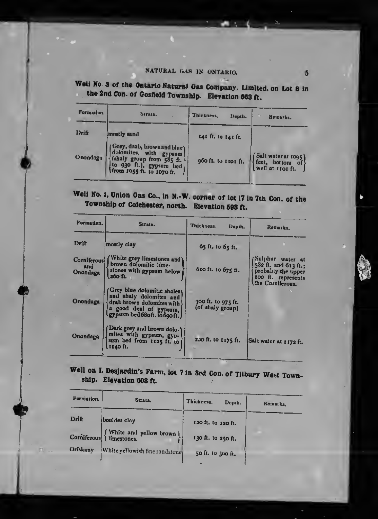## Well No. 3 of the Ontario Natural Gas Company, Limited, on Lot 8 in the 2nd Con. of Gosfield Township. Elevation 663 ft.

| Formation. | Strata.                                                                                                                                    | Thickness.          | Depth. | Remarks.           |
|------------|--------------------------------------------------------------------------------------------------------------------------------------------|---------------------|--------|--------------------|
| Drift      | mostly sand                                                                                                                                | 141 ft. to 141 ft.  |        |                    |
| Onondaga   | Grey, drab, brown and blue<br>dolomites, with gypsum<br>(ahaly group from 585 ft.)<br>to 930 ft.), gypsum bed<br>from 1055 ft. to 1070 ft. | 960 ft. to 1101 ft. |        | Salt water at 1095 |

## Weil No. 1, Union Oas Co., in N.-W. corner of lot 17 in 7th Con. of the Township of Colchester, north. Elevation 593 ft.

| Formation.                     | Strata.                                                                                                                                      | Thickness.<br>Depth.                   | Remarks.                                                                                                 |
|--------------------------------|----------------------------------------------------------------------------------------------------------------------------------------------|----------------------------------------|----------------------------------------------------------------------------------------------------------|
| Drift                          | mostly clay                                                                                                                                  | 65 ft. to 65 ft.                       |                                                                                                          |
| Corniferous<br>and<br>Onondaga | White grey limestones and)<br>brown dolomitic lime-<br>stones with gypsum below<br>260 ft.                                                   | 610 ft. to 675 ft.                     | Sulphur water at<br>582 ft. and 613 ft.;<br>probably the upper<br>too it. represents<br>the Corniferous. |
| Onondaga                       | Grey blue dolomitic shales)<br>and shaly dolomites and<br>drab brown dolomites with<br>a good deal of gypsum,<br>gypsum bed 68oft. to 69oft. | 300 ft. to 975 ft.<br>(of shaly group) |                                                                                                          |
| Onondaga                       | Dark grey and brown dolo-<br>mites with gypsum, gyp-<br>sum bed from 1125 ft. to<br>1140 ft.                                                 | 200 ft. to 1175 ft.                    | Salt water at 1172 ft.                                                                                   |

## Well on I. Desjardin's Farm, lot 7 in 3rd Con. of Tilbury West Township. Elevation 603 ft.

| Formation.  | Strata,                         | Thickness.         | Depth. | Remarka. |
|-------------|---------------------------------|--------------------|--------|----------|
| Drift       | boulder clay                    | 120 ft. to 120 ft. |        |          |
| Corniferous | White and yellow brown }        | 130 ft. to 250 ft. |        |          |
| Oriskany    | White yellowish fine sandstoner | 50 ft. to 300 ft.  |        |          |

5

ò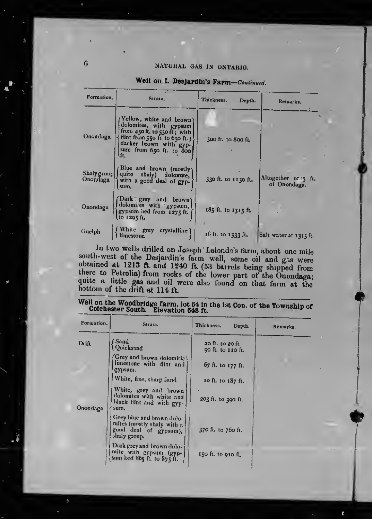| Formation.                      | Strata.                                                                                                                                                                           | Thickness.                | Depth. | Remarks.                            |
|---------------------------------|-----------------------------------------------------------------------------------------------------------------------------------------------------------------------------------|---------------------------|--------|-------------------------------------|
| Onondaga                        | Yellow, white and brown)<br>dolomites, with gypsum<br>from 450 ft. to 550 ft; with<br>flint from 550 ft. to 650 ft.;<br>darker brown with gyp-<br>sum from 650 ft. to 800<br>١ſt. | 500 ft. to 800 ft.        |        |                                     |
| Shaly group   quite<br>Onondaga | Blue and hrown (mostly)<br>shaly)<br>dolomite,<br>with a good deal of gyp-<br>sum.                                                                                                | 330 ft. to 1130 ft.       |        | Altogether ICI5 ft.<br>of Onondaga. |
| Onondaga                        | (Dark grey and<br>brown)<br>dolomi.es with 'gypsum,<br>gypsum bed from 1275 ft.<br>to 1295 ft.                                                                                    | 185 ft. to 1315 ft.       |        |                                     |
| Guelph                          | White<br>grey<br>crystalline }<br>limestone.                                                                                                                                      | 1.1<br>18 ft. to 1333 ft. |        | Salt water at 1315 ft.              |

## Weil on I. Desjardin's Farm-Continued.

In two wells drilled on Joseph' Lalonde's farm, about one mile south-west of the Desjardin's farm well, some oil and gas were obtained at 1213 ft. and 1240 ft. (53 barrels being shipped from there to Petrolia) from rocks of the lower part of the Onendaga; quite a little gas and oil were also found on that farm at the bottom of the drift at 114 ft.

| Formation. | Strata.                                                                                          | Thickness.<br>Depth.                  | Remarks. |
|------------|--------------------------------------------------------------------------------------------------|---------------------------------------|----------|
| Drift      | Sand<br>Quicksand                                                                                | 20 ft. to 20 ft.<br>90 ft. to 110 ft. |          |
|            | (Grey and brown dolomitic)<br>limestone with flint and<br>gypsum.                                | 67 ft. to 177 ft.                     |          |
|            | White, fine, sharp sand                                                                          | 10 ft. to 187 ft.                     |          |
| Onondaga   | White, grey and brown<br>dolomites with white and<br>black flint and with gyp-<br>sum.           | 203 ft. to 390 ft.                    |          |
|            | Grey blue and brown dolo-<br>nites (mostly shaly with a<br>good deal of gypsum),<br>shaly group. | 370 ft. to 760 ft.                    |          |
|            | Dark grey and brown dolo-<br>mite with gypsum (gyp-<br>$6.1 - 1.106 + 6.10$                      | 150 ft. to 910 ft.                    |          |

Ê

sum led  $865$  ft. to  $875$  ft.

Well on the Woodbridge farm, jot 64 in the 1st Con. of the Township of Coichester South. Elevation 648 ft.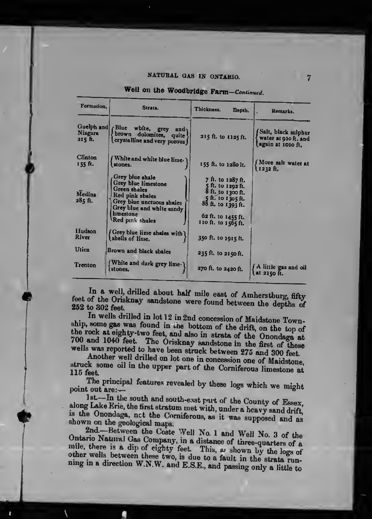| Formation.                                | Strata.                                                                                                                                                             | Thickness.<br>Depth.                                                                                                                                | Remarks.                                                         |
|-------------------------------------------|---------------------------------------------------------------------------------------------------------------------------------------------------------------------|-----------------------------------------------------------------------------------------------------------------------------------------------------|------------------------------------------------------------------|
| Guelph and $f$ Blue<br>Niagara<br>215 ft. | wbite,<br>grey<br>and<br>brown<br>dolomites,<br>quite !<br>crystalline and very porous                                                                              | 215 ft. to 1125 ft.                                                                                                                                 | Salt, black sulphur<br>water at 910 ft. and<br>again at 1010 ft. |
| <b>Clinton</b><br>155 ft.                 | White and white blue lime- l<br><i>i</i> stones.                                                                                                                    | 155 ft. to 1280 lt.                                                                                                                                 | More salt water at<br>l 1232 ft.                                 |
| Medina<br>285 ft.                         | Grey blue shale<br>Grey blue limestone<br>Green shales<br>Red pink sbales<br>Grey blue unctuous shales<br>Grey blue and white sandy<br>limestone<br>Red pink shales | 7 ft. to 1287 ft.<br>5 ft. to 1292 ft.<br>8 ft. to 1300 ft.<br>5 ft. to 1305 ft.<br>88 ft. to 1393 ft.<br>62 ft. to 1455 ft.<br>110 ft. to 1565 ft. |                                                                  |
| Hudson<br>River                           | (Grey blue lime shales with)<br>shells of lime.                                                                                                                     | 350 ft. to 1915 ft.                                                                                                                                 |                                                                  |
| Utica                                     | Brown and black sbales                                                                                                                                              | 235 ft. to 2150 ft.                                                                                                                                 |                                                                  |
| <b>Trenton</b>                            | (White and dark grey lime-)<br>stones.                                                                                                                              | 270 ft. to 2420 ft.                                                                                                                                 | f A little gas and oil<br>at 2150 ft.                            |

## Well on the Woodbridge Farm-Continued.

In a well, drilled about half mile east of Amherstburg, fifty feet of the Orisknay sandstone were found between the depths of 252 to 302 feet.

In wells drilled in lot 12 in 2nd concession of Maidstone Township, some gas was found in the bottom of the drift, on the top of the rock at eighty-two feet, and also in strata of the Onondaga at 700 and 1040 feet. The Orisknay sandstone in the first of these wells was reported to have been struck between 275 and 300 feet.

Another well drilled on lot one in concession one of Maidstone, struck some oil in the upper part of the Corniferous limestone at 115 feet.

The principal features revealed by these logs which we might point out are:-

1st.--In the south and south-east part of the County of Essex, along Lake Erie, the first stratum met with, under a heavy sand drift, is the Onondaga, not the Corniferous, as it was supposed and as shown on the geological maps.

2nd. Between the Coste Well No. 1 and Well No. 3 of the Ontario Natural Gas Company, in a distance of three-quarters of a mile, there is a dip of eighty feet. This, as shown by the logs of other wells between these two, is due to a fault in the strata running in a direction W.N.W. and E.S.E., and passing only a little to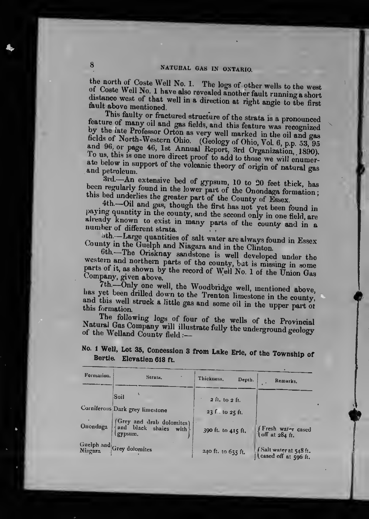the north of Coste Well No. 1. The logs of other wells to the west of Coste Well No. 1 have also revealed another fault running a short distance west of that well in a direction at right angle to the first fault above mentioned.

This faulty or fractured structure of the strata is a pronounced feature of many oil and gas fields, and this feature was recognized by the late Professor Orton as very well marked in the oil and gas fields of North-Western Ohio. (Geology of Ohio, Vol. 6, p.p. 53, 95 and 96, or page 46, 1st Annual Report, 3rd Organization, 1890). To us, this is one more direct proof to add to those we will enumerate below in support of the volcanic theory of origin of natural gas and petroleum.

3rd. An extensive bed of gypsum, 10 to 20 feet thick, has been regularly found in the lower part of the Onondaga formation; this bed underlies the greater part of the County of Essex.

4th.-Oil and gas, though the first has not yet been found in paying quantity in the county, and the second only in one field, are already known to exist in many parts of the county and in a number of different strata.

bth.-Large quantities of salt water are always found in Essex County in the Guelph and Niagara and in the Clinton.

6th.-The Orisknay sandstone is well developed under tho western and northern parts of tho county, but is missing in some parts of it, as shown by the record of Well No. 1 of the Union Gas Company, given above.

7th.---Only one well, the Woodbridge well, mentioned above, has yet been drilled down to the Trenton limestone in the county, and this well struck a little gas and some oil in the upper part of this formation.

The following logs of four of the wells of the Provincial Natural Gas Company will illustrate fully the underground geology of the Welland County field :-

| Formation. | Strata.                                                        | Thickness.<br>Depth. | Remarks.                             |
|------------|----------------------------------------------------------------|----------------------|--------------------------------------|
|            | Soil                                                           | 2 ft. to 2 ft.       |                                      |
|            | Corniferous Dark grey limestone                                | 23 f. to 25 ft.      |                                      |
| Onondaga   | (Grey and drab dolomites)<br>and black shales with<br>(gypsum. | 390 ft. to 415 ft.   | {Fresh water cased<br>off at 284 ft. |
|            | Guelph and Grey dolomites                                      | 240 ft. to 655 ft.   | [Salt water at 548 ft.]              |

## No. 1 Well, Lot 35, Concession 3 from Lake Erie, of the Township of Bertie. Elevatien 618 ft.

8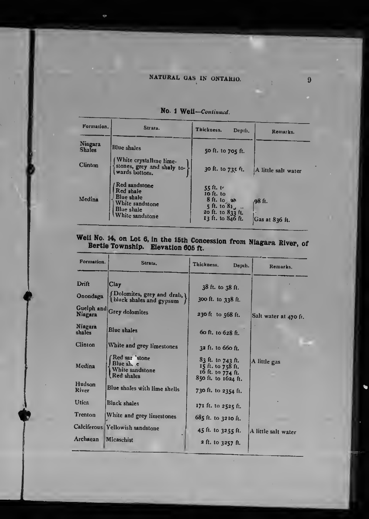$\overline{9}$ 

۰

a.

| Formation.               | Strata.                                                                                             | Thickness.<br>Depth.                                                                               | Remarks.                 |
|--------------------------|-----------------------------------------------------------------------------------------------------|----------------------------------------------------------------------------------------------------|--------------------------|
| Niagara<br><b>Shales</b> | <b>Blue</b> shales                                                                                  | 50 ft. to 705 ft.                                                                                  |                          |
| Clinton                  | White crystalline lime-<br>stones, grey and shaly to-<br>wards bottoni.                             | 30 ft. to 735 ft.                                                                                  | A little salt water      |
| Medina                   | Red sandstone<br>Red shale<br><b>Blue</b> shale<br>White sandstone<br>Blue shale<br>White sandstone | 55 ft. tr<br>IO ft. to<br>8 ft. to 98<br>$5$ ft. to $81$<br>20 ft. to 833 ft.<br>13 ft. to 846 ft. | 98 ft.<br>Gas at 836 ft. |

## No. 1 Well-Continued.

## wen No. 14, on Lot 6, in the 15th Concession from Niagara River, of Bertie Township. Elevation 605 ft.

| Formation.        | Strata.                                                       | Thickness.<br>Depth.                                                               | Remarks.              |
|-------------------|---------------------------------------------------------------|------------------------------------------------------------------------------------|-----------------------|
| Drift             | Clay                                                          | 38 ft. to 38 ft.                                                                   |                       |
| Onondaga          | (Dolomites, grey and dral), I<br>black shales and gypsum      | 300 ft. to 338 ft.                                                                 |                       |
|                   | Guelph and Grey dolomites                                     | 230 ft to 568 ft.                                                                  | Salt water at 470 ft. |
| Niagara<br>shales | Blue shales                                                   | 60 ft. to 628 ft.                                                                  |                       |
| Clinton           | White and grey limestones                                     | 32 ft. to 660 ft.                                                                  |                       |
| Medina            | Red sar 'stone<br>Blue sh. e<br>White sandstone<br>Red shales | 83 ft. to 743 ft.<br>15 ft. to 758 ft.<br>16 ft. to 774 ft.<br>850 ft. to 1624 ft. | A little gas          |
| Hudson<br>River   | Blue shales with lime shells                                  | 730 ft. to 2354 ft.                                                                |                       |
| Utica             | <b>Black shales</b>                                           | 171 ft. to 2525 ft.                                                                |                       |
| <b>Trenton</b>    | White and grey limestones                                     | 685 ft. to 3210 ft.                                                                |                       |
| Calciferous       | Yellowish sandstone                                           | 45 ft. to 3255 ft.                                                                 | A little salt water   |
| Archaean          | Micaschist                                                    | 2 ft. to 3257 ft.                                                                  |                       |

 $\mathbf{I}$ 

 $\bullet$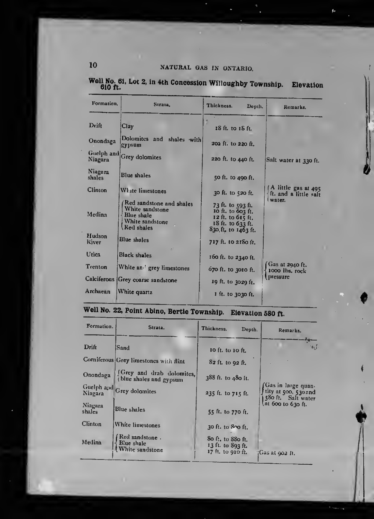.<br>Jo

| Formation.             | Strata,                                                                                    | Thickness.                                                                                               | Depth. | Remarks.                                     |
|------------------------|--------------------------------------------------------------------------------------------|----------------------------------------------------------------------------------------------------------|--------|----------------------------------------------|
| Drift                  | Clav                                                                                       | ĵ.<br>18 ft. to 18 ft.                                                                                   |        |                                              |
| Onondaga               | Dolomites and<br>shales with<br>gypsum                                                     | 202 ft. to 220 ft.                                                                                       |        |                                              |
| Guelph and<br>Niagara  | Grey dolomites                                                                             | 220 ft. to 440 ft.                                                                                       |        | Salt water at 330 ft.                        |
| Niagara<br>shales      | <b>Blue</b> shales                                                                         | 50 ft. to 490 ft.                                                                                        |        |                                              |
| Clinton                | White limestones                                                                           | 30 ft. to 520 ft.                                                                                        |        | A little gas at 495<br>ft. and a little salt |
| Medina                 | Red sandstone and shales<br>White sandstone<br>Blue shale<br>White sandstone<br>Red shales | 73 ft. to 593 ft.<br>10 ft. to 603 ft.<br>12 ft. to 615 ft.<br>18 ft. to 633 ft.<br>830, ft, to 1463 ft. |        | water.                                       |
| Hudson<br><b>River</b> | <b>Blue</b> shales                                                                         | 717 ft. to 2180 ft.                                                                                      |        |                                              |
| Utica                  | <b>Black shales</b>                                                                        | 160 ft. to 2340 ft.                                                                                      |        |                                              |
| $\Gamma$ renton        | White and grey limestones                                                                  | 670 ft. to 3010 ft.                                                                                      |        | Gas at 2940 ft.<br>1000 lbs. rock            |
|                        | Calciferous Grey coarse sandstone                                                          | 19 ft. to 3029 ft.                                                                                       |        | pressure                                     |
| Archaean               | White quartz                                                                               | $\frac{1}{1}$ it. to 3030 ft.                                                                            |        |                                              |

## Well No. 61, Lot 2, in 4th Concession Willoughby Township. Elevation 610 ft.

## Well No. 22, Point Abino, Bertie Township. Elevation 580 ft.

| Formation.            | Strata.                                              | Thickness.<br>Depth.                                        | Remarks.                                                          |
|-----------------------|------------------------------------------------------|-------------------------------------------------------------|-------------------------------------------------------------------|
| Drift                 | Sand                                                 | 10 ft. to 10 ft.                                            | $\mathbf{u}$                                                      |
|                       | Corniferous Grey limestones with flint               | 82 ft. to 92 ft.                                            |                                                                   |
| Onondaga              | (Grey and drab dolomites,<br>(blue shales and gypsum | 388 ft. to 480 ft.                                          |                                                                   |
| Guelph and<br>Niagara | Grey dolomites                                       | 235 ft. to 715 ft.                                          | (Gas in large quan-<br>tity at 500, 530 and<br>580 ft. Salt water |
| Niagara<br>shales     | Blue shales                                          | 55 ft. to 770 ft.                                           | at 600 to 630 ft.                                                 |
| Clinton               | White limestones                                     | 30 ft. to 800 ft.                                           |                                                                   |
| Medina                | Red sandstone.<br>Blue shale<br>White sandstone      | 80 ft. to 880 ft.<br>13 ft. to 893 ft.<br>17 ft. to 910 ft. | Gas at 902 ft.                                                    |

### 10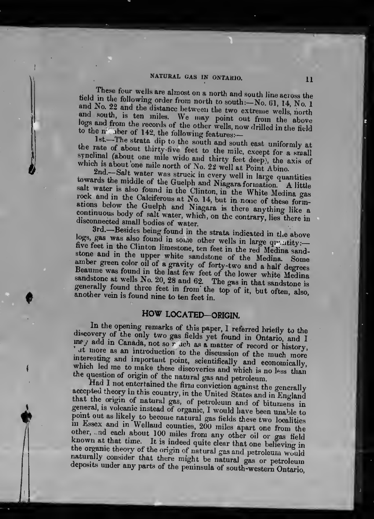These four wells are almost on a north and south line across the field in the following order from north to south:-No. 61, 14, No. 1 and No. 22 and the distance between the two extreme wells, north and south, is ten miles. We may point out from the above logs and from the records of the other wells, now drilled in the field to the number of 142, the following features:-

1st. The strata dip to the south and south east uniformly at the rate of about thirty-five feet to the mile, except for a small synclinal (about one mile wido and thirty feet deep), the axis of which is about one mile north of No. 22 well at Point Abino.

2nd.--Salt water was struck in every well in large quantities towards the middle of the Guelph and Niagara formation. A little salt water is also found in the Clinton, in the White Medina gas rock and in the Calciferous at No. 14, but in none of these formations below the Guelph and Niagara is there anything like a continuous body of salt water, which, on the contrary, lies there in disconnected small bodies of water.

3rd. Besides being found in the strata indicated in the above logs, gas was also found in some other wells in large quantity :five feet in the Clinton limestone, ten feet in the red Medina sandstone and in the upper white sandstone of the Medina. Some amber green color oil of a gravity of forty-two and a half degrees Beaume was found in the last few feet of the lower white Medina sandstone at wells No. 20, 28 and 62. The gas in that sandstone is generally found three feet in from the top of it, but often, also, another vein is found nine to ten feet in.

### HOW LOCATED-ORIGIN.

In the opening remarks of this paper, I referred briefly to the discovery of the only two gas fields yet found in Ontario, and I may add in Canada, not so r uch as a matter of record or history, at more as an introduction to the discussion of the much more interesting and important point, scientifically and economically, which led me to make these discoveries and which is no less than the question of origin of the natural gas and petroleum.

Had I not entertained the firm conviction against the generally accepted theory in this country, in the United States and in England that the origin of natural gas, of petroleum and of bitumens in general, is volcanic instead of organic, I would have been unable to point out as likely to become natural gas fields these two localities in Essex and in Wellaud counties, 200 miles apart one from the other, ..nd each about 100 miles from any other oil or gas field known at that time. It is indeed quite clear that one believing in the organic theory of the origin of natural gas and petroleum would naturally consider that there might be natural gas or petroleum deposits under any parts of the peninsula of south-western Ontario,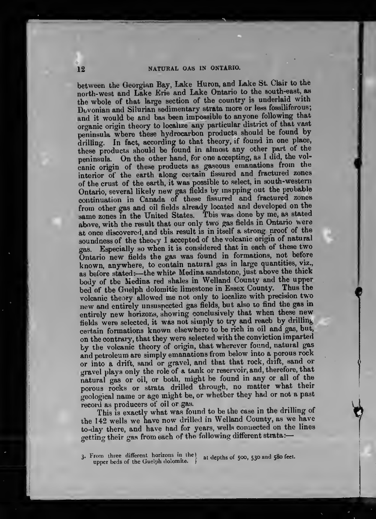between the Georgian Bay, Lake Huron, and Lake St. Clair to the north-west and Lake Erie and Lake Ontario to the south-east, a» the whole of that large section of the country is underlaid with Devonian and Silurian sedimentary strata more or less fossiliferous; and it would be and has been impossible to anyone following that organic origin theory to localize any particular district of that vast peninsula where these hydrocarbon products should be found by drilling. In fact, according to that theory, if found in one place, these products should be found in almost any other part of the peninsula. On the other hand, for one accepting, as I did, the volcanic origin of these products as gaseous emanations from the interior of the earth along certain fissured and fractured zones of the crust of the earth, it was possible to select, in south-western Ontario, several likely new gas fields by mapping out the probable continuation in Canada of these fissured and fractured zones from other gas and oil fields already located and developed on the same zones in the United States. This was done by me, as stated above, with the result that our only two gas fields in Ontario were at once discovered, and this result is in itself a strong nroof of the soundness of the theory <sup>I</sup> accepted of the volcanic origin of natural gas. Especially so when it is considered that in each of these two Ontario new fields the gas was found in formations, not before known, anywhere, to contain natural gas in large quantities, viz., as before stated:—the white Medina sandstone, just above the thick body of the Medina red shales in Welland County and the upper bed of the Guelph dolomitic limestone in Essex County. Thus the volcanic theory allowed me not only to localize with precision two new and entirely unsuspected gas fields, but also to find the gas in entirely new horizons, showing conclusively that when these new fields were selected, it was not simply to try and reach by drilling certain formations known elsewhere to be rich in oil and gas, but, on the contraiy, that they were selected with the conviction imparted by the volcanic theory of origin, that wherever found, natural gas and petroleum are simply emanations from below into <sup>a</sup> porous rock or into <sup>a</sup> drift, sand or gravel, and that that rock, drift, sand or gravel plays only the role of a tank or reservoir, and, therefore, that natural gas or oil, or both, might be found in any or all of the porous rocks or strata drilled through, no matter what their geological name or age might be, or whether they had or not a past record as producers of oil or gas.

,

This is exactly what was found to be the case in the drilling of the <sup>142</sup> wells we have now drilled in Welland County, as we have to-day there, and have had for years, wells connected on the lines getting their gas from each of the following different strata:-

<sup>3.</sup> From three different horizons in the! upper beds of the Guelph dolomite. at depths of 500, 530 and 580 feet.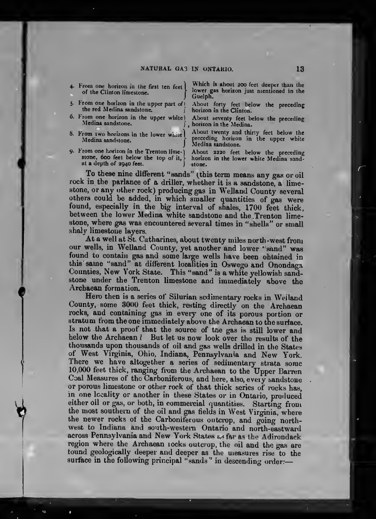| 4. From one horizon in the first ten feet<br>of the Clinton limestone.                                         | Which is about 200 feet deeper than the<br>lower gas horizon just mentioned in the<br>Guelph.       |
|----------------------------------------------------------------------------------------------------------------|-----------------------------------------------------------------------------------------------------|
| 5. From one horizon in the upper part of!<br>the red Medina sandstone.                                         | About forty feet below the preceding<br>horizon in the Clinton.                                     |
| 6. From one horizon in the upper white)<br>Medina sandstone.                                                   | About seventy feet below the preceding<br>horizon in the Medina.                                    |
| 8. From two horizons in the lower white<br>Medina sandstone.                                                   | About twenty and thirty feet below the<br>preceding horizon in the upper white<br>Medina sandstone. |
| 9. From one horizon in the Trenton lime-).<br>stone, 600 feet below the top of it,<br>at a depth of 2940 feet. | About 2220 feet below the preceding<br>horizon in the lower white Medina sand-                      |

To these nine different "sands" (this term means any gas or oil rock in the parlance of a driller, whether it is a sandstone, a limestone, or any other rock) producing gas in Welland County several others could be added, in which smaller quantities of gas were found, especially in the big interval of shales, 1700 feet thick, between the lower Medina white sandstone and the Trenton limestone, where gas was encountered several times in "shells" or small shaly limestone layers.

,,,

t

At a well at St. Catharines, about twenty miles north-west from our wells, in Welland County, yet another and lower "sand" was found to contain gas and some laige wells have been obtained in this same "sand" at different localities in Oswego and Onondaga Counties, New Vork State. This "sand" is <sup>a</sup> white yellowish sandstone under the Trenton limestone and immediately above the Archaean formation.

Hero then is a series of Silurian sedimentary rocks in Wciland County, some 3000 feet thick, resting directly on the Archaean rocks, and containing gas in every one of its porous portion or stratum from the one immediately above the Archaean to the surface. Is not that a proof that the source of tne gas is still lower and below the Archaean ? But let us now look over tho results of the thousands upon thousands of oil and gas wells drilled in the States of West Virginia, Ohio, Indiana, Pennsylvania and New York. There we have altogether <sup>a</sup> series of sedimentary strata some 10,000 feet thick, ranging from the Archaean to the Upper Barren Coal Measures of tho Carboniferous, and here, also, eveiy sandstone or porous limestone or other rock of that thick series of rocks has, in one locality or another in these States or in Ontario, produced either oil or gas, or both, in commercial quantities. Starting from the most southern of the oil and gas fields in West Virginia, where the newer rocks of the Carboniferous outcrop, and going northwest to Indiana and south-western Ontario and north-eastward across Pennsylvania and New York States as far as the Adirondack<br>region where the Archaean 10cks outcrop, the oil and the gas are tound geologically deeper and deeper as the useasures rise to the surface in the following principal "sands" in descending order:-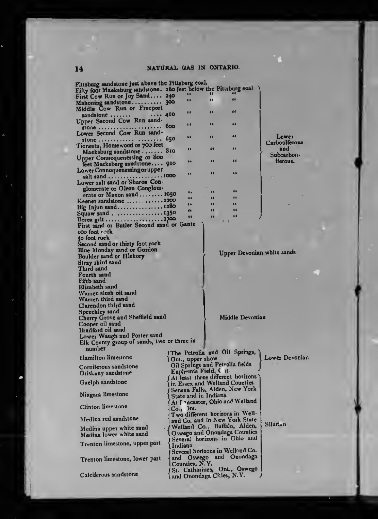| Pittsburg sandstone just abuve the Pittsburg coal.                |                                                                        |         |                              |                            |
|-------------------------------------------------------------------|------------------------------------------------------------------------|---------|------------------------------|----------------------------|
| Fifty foot Maeksburg sandstone. 160 feet below the Pittsburg eoal |                                                                        |         |                              |                            |
| First Cow Run or Joy Sand 240<br>Mahoning sandstone               | 16<br>300                                                              | 66      | 66                           |                            |
| Middle Cow Run or Freeport                                        |                                                                        | 66      | 66                           |                            |
| 410<br>$\mathsf{sandstone}\; \ldots \ldots$                       |                                                                        |         |                              |                            |
| Upper Second Cow Run sand-                                        | 80<br>600                                                              | 44      | 66                           |                            |
| stone<br>Lower Second Cow Run sand-                               |                                                                        |         |                              |                            |
| stone                                                             | 66<br>050                                                              |         | 66                           | Lower                      |
| Tionesta, Homewood or 700 feet                                    |                                                                        | 44      | $\overline{66}$              | CarbonIferons              |
| Macksburg sandstone                                               | 11<br>810                                                              |         |                              | and<br>Subcarbon-          |
| Upper Connoquenessing or 800                                      |                                                                        | 66      | 14                           | iferous.                   |
| feet Macksburg sandstone 910                                      |                                                                        |         |                              |                            |
| Lower Connoquenessing or upper<br>salt sand 1000                  |                                                                        | 44      | 66                           |                            |
| Lower salt sand or Sharon Con-                                    |                                                                        |         |                              |                            |
| glomerate or Olean Congiom.                                       |                                                                        | 66      | 66                           |                            |
| erate or Maxon sand  1050                                         | 11                                                                     | 66      | 66                           |                            |
| Keener sandstone 1200                                             | 46                                                                     | 46      | 66                           |                            |
| Big Injun sand1280                                                | 66                                                                     | 66      | 66                           |                            |
| Squaw sand1350                                                    | 44                                                                     | 66      | 66                           |                            |
| First sand or Butler Second sand or Gantz                         |                                                                        | $4 - 1$ |                              |                            |
| 100 foot rock                                                     |                                                                        |         |                              |                            |
| 50 foot rock                                                      |                                                                        |         |                              |                            |
| Second sand or thirty foot rock                                   |                                                                        |         |                              |                            |
| Blue Monday sand or Gordon                                        |                                                                        |         |                              | Upper Devonian white sands |
| Boulder sand or Hickory                                           |                                                                        |         |                              |                            |
| Stray third sand<br>Third sand                                    |                                                                        |         |                              |                            |
| Fourth sand                                                       |                                                                        |         |                              |                            |
| <b>Fifth</b> sand                                                 |                                                                        |         |                              |                            |
| Elizabeth sand                                                    |                                                                        |         |                              |                            |
| Warren slush oil sand                                             |                                                                        |         |                              |                            |
| Warren third sand                                                 |                                                                        |         |                              |                            |
| Clarendon third sand                                              |                                                                        |         |                              |                            |
| Speechley sand<br>Cherry Grove and Sheffield sand                 |                                                                        |         | Middle Devonian              |                            |
| Cooper oil sand                                                   |                                                                        |         |                              |                            |
| Bradford oil sand                                                 |                                                                        |         |                              |                            |
| Lower Waugh and Porter sand                                       |                                                                        |         |                              |                            |
| Elk County group of sands, two or three in                        |                                                                        |         |                              |                            |
| number                                                            | (The Petrolia and Oil Springs,                                         |         |                              |                            |
| Hamilton limestone                                                | Ont., upper show                                                       |         |                              | <b>Lower Devonian</b>      |
| Corniferous sandstone                                             | Oil Springs and Petrolia fields                                        |         |                              |                            |
| Oriskany sandstone                                                | Euphemia Field, C it.                                                  |         |                              |                            |
|                                                                   | At least three different horizons                                      |         |                              |                            |
| Guelph sandstone                                                  | in Essex and Welland Counties                                          |         |                              |                            |
| Niagara limestone                                                 | Seneea Falls, Alden, New York                                          |         |                              |                            |
|                                                                   | l State and in Indiana<br>At I ancaster, Ohio and Welland              |         |                              |                            |
| Clinton limestone                                                 | Co., <i>Int.</i>                                                       |         |                              |                            |
|                                                                   | Two different horizons in Well-                                        |         |                              |                            |
| Medina red sandstone                                              | and Co. and in New York State                                          |         |                              | <b>Siluri</b> <sub>n</sub> |
| Medina upper white sand                                           | . (Welland Co., Buffalo, Alden,                                        |         |                              |                            |
| Medina lower white sand                                           | <b>1 Oswego and Onondaga Counties</b><br>(Several horizons in Ohio and |         |                              |                            |
| Trenton limestone, upper part                                     | Indiana                                                                |         |                              |                            |
|                                                                   | Several horizons in Welland Co.                                        |         |                              |                            |
| Trenton limestone, lower part                                     |                                                                        |         | and Oswego and Onondaga      |                            |
|                                                                   | Counties, N.Y.                                                         |         |                              |                            |
|                                                                   |                                                                        |         | St. Catharines, Ont., Oswego |                            |
| Calciferous sandstone                                             | and Onondags Cities, N.Y.                                              |         |                              |                            |

If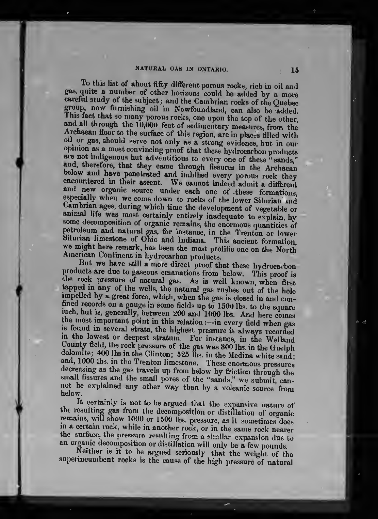To this list of about fifty different porous rocks, rich in oil and gas, quite a number of other horizons could he added by a more careful study of the subject ; and the Cambrian rocks of the Quebec group, now furnishing oil in Newfoundland, can also be added.  $\overline{a}$ This fact that so many porous rocks, one upon the top of the other, and all through the  $10,000$  feet of sedimentary measures, from the Archaean floor to the surface of this region, are in places filled with oil or gas, should serve not only as a strong evidence, hut in our opinion as a most convincing proof that these hydrocarbon products are not indigenous hut adventitious to every one of these "sands," and, therefore, that they came through fissures in the Archaean below and have penetrated and imhibed every porous rock they encountered in their ascent. We cannot indeed admit a different and new organic source under each one of these formations, especially when we come down to rocks of the lower Silurian and Cambrian ages, during which time the development of vegetable or animal life was most certainly entirely inadequate to explain, hy some decomposition of organic remains, the enormous quantities of petroleum and natural gas, for instance, in the Trenton or lower Silurian limestone of Ohio and Indiana. This ancient formation, we might here remark, has been the most prolific one on the North American Continent in hydrocarbon products.

But we have still a more direct proof that these hydrocarbon products are due to gaseous emanations from below. This proof is the rock pressure of natural gas. As is well known, when first tapped in any of the wells, the natural gas rushes out of the hole impelled by <sup>a</sup> great foree, which, when the gas is closed in and confined records on <sup>a</sup> gauge in some fields up to <sup>1500</sup> lbs. to the square iuch, hut is, generally, between 200 and 1000 lbs. And here comes the most important point in this relation :—in every field when gas is found in several strata, the highest pressure is always recorded in the lowest or deepest stratum. For instance, in the Welland County field, the rock pressure of the gas was 300 lbs. in the Guelph dolomite; 400 lbs in the Clinton; 525 lbs. in the Medina white sand; and, 1000 lbs. in the Trenton limestone. These enormous pressures decreasing as the gas travels up from helow hy friction through the small fissures and the small pores of the "sands," we submit, cannot he explained any other way than by a volcanic source from below.

It certainly is not to be argued that the expansive nature of the resulting gas from the decomposition or distillatiou of organic remains, will show 1000 or 1500 lbs. pressure, as it sometimes does in a certain rock, while in another rock, or in the same rock nearer the surface, the pressure resulting from a similar expansion due to

1'

an organic decomposition or distillation will only be a few pounds.<br>Neither is it to be argued seriously that the weight of the superincumbent rocks is the cause of the high pressure of natural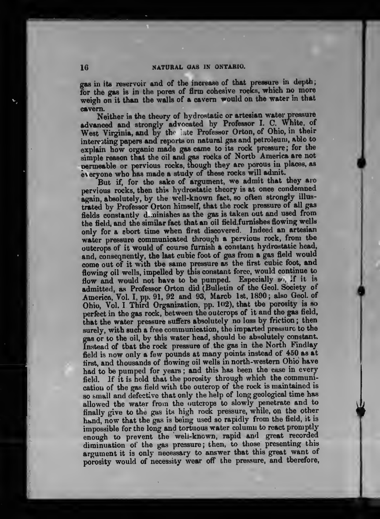gas in its reservoir and of the increase of that pressure in depth; for the gas is in the pores of firm cohesive rocks, which no more weigh on it than the walls of a cavern would on the water in that cavern.

Neither is the theory of hydrostatic or artesian water pressure advanced and strongly advocated by Professor I. C. White, of West Virginia, and by the late Professor Orton, of Ohio, in their interesting papers and reports on natural gas and petroleum, able to explain how organic made gas came to its rock pressure; for the simple reason that the oil and gas rocks of North America are not permeable or pervious rocks, though they are porous in places, as e\ eryone who has made a study of these rocks will admit.

But if, for the sake of argument, we admit that they are pervious rocks, then this hydrostatic theory is at once condemned again, absolutely, by the well-known fact, so often strongly illustrated by Professor Orton himself, that the rock pressure of all gas fields constantly d.minishes as the gas is taken out and used from the field, and the similar fact that an oil field furnishes flowing wells only for a sbort time when first discovered. Indeed an artesian water pressure communicated through a pervious rock, from the outcrops of it would of course furnish a constant hydrostatic head, and, consequently, the last cubic foot of gas from a gas field would come out of it with the same pressure as the first cubic foot, and flowing oil wells, impelled by this constant force, would continue to flow and would not have to be pumped. Especially so, if it is admitted, as Professor Orton did (Bulletin of the Oeol. Society of America, Vol. I, pp. 91, 92 and 93, Mareh 1st, 1890; also Oeol. of Ohio, Vol. I Third Organization, pp. 102), that the porosity is so perfect in the gas rock, Detween the outcrops of it and the gas field, that the water pressure sufiers absolutely no loss by friction ; then surely, with such a free communication, the imparted pressure to the gas or to the oil, by this water head, should bo absolutely constant. Instead of that the rock pressure of the gas in the North Findlay field is now only a few pounds at many points instead of 450 as at first, and thousands of flowing oil wells in north-western Ohio have had to be pumped for years; and this has been the case in every field. If it is held that the porosity through which the communicatiou of the gas field with the outcrop of the rock is maintained is so small and defective that only the help of long geological time has allowed the water from the outcrops to slowly penetrate and to finally give to the gas its high rock pressure, while, on the other hand, now that the gas is being used so rapidly from the field, it is impossible for the long and tortuous water column to react promptly enough to prevent the well-known, rapid and great recorded diminuation of the gas pressure; then, to those presenting this argument it is only necessary to answer that this great want of porosity would of necessity wear off the pressure, and therefore.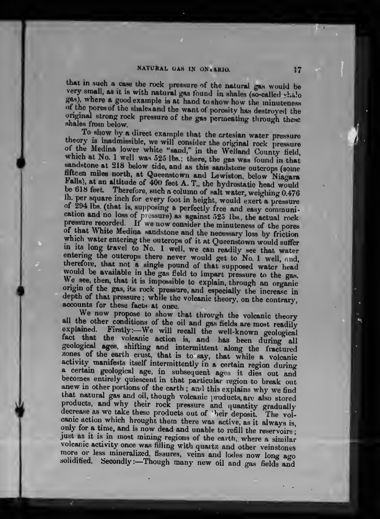that in such a case the rock pressure of the natural gas would be very small, as it is with natural gas found in shales (so-called shalo gas), where a good example is at hand to show how the minuteness of the pores of the shales and the want of porosity has destroyed the original strong rock pressure of the gas permeating through these shales from below.

To show by a direct example that the artesian water pressure theory is inadmissible, we will consider the original rock pressure of the Medina lower white "sand," in the Welland County field, which at No. 1 well was 525 lbs.; there, the gas was found in that sandstone at 218 below tide, and as this sandstone outcrops (some fifteen miles north, at Queenstown and Lewiston, below Niagara Falls), at an altitude of 400 feet A. T., the hydrostatic head would be 618 feet. Therefore, such a column of salt water, weighing 0.476 lh. per square inch for every foot in height, would exert a pressure of 294 lbs. (that is, supposing a perfectly free and easy communication and no loss of pressure) as against 525 lbs., the actual rock pressure recorded. If we now consider the minuteness of the pores of that White Medina sandstone and the necessary loss by friction which water entering the outcrops of it at Queenstown would suffer in its long travel to No. 1 well, we can readily see that water entering the outcrops there never would get to No. 1 well, and, therefore, that not a single pound of that supposed water head would be available in the gas field to impart pressure to the gas. We see, then, that it is impossible to explain, through an organic origin of the gas, its rock pressure, and especially the increase in depth of that pressure; while the volcanic theory, on the contrary, accounts for these facts at once.

We now propose to show that through the volcanic theory all the other conditions of the oil and gas fields are most readily explained. Firstly:-We will recall the well-known geological fact that the volcanic action is, and has heen during all geological ages, shifting and intermittent along the fractured zones of the earth crust, that is to say, that while a volcanic activity manifests itself intermittently in a certain region during a certain geological age, in subsequent ages it dies out and becomes entirely quiescent in that particular region to break out anew in other portions of the carth; and this explains why we find that natural gas and oil, though volcanic products, are also stored products, and why their rock pressure and quantity gradually decrease as we take these products out of 'heir deposit. The volcanic action which hrought them there was active, as it always is, only for a time, and is now dead and unable to refill the reservoirs; just as it is in most mining regions of the earth, where a similar volcanic activity once was filling with quartz and other veinstones more or less mineralized, fissures, veins and lodes now long ago solidified. Secondly:-Though many new oil and gas fields and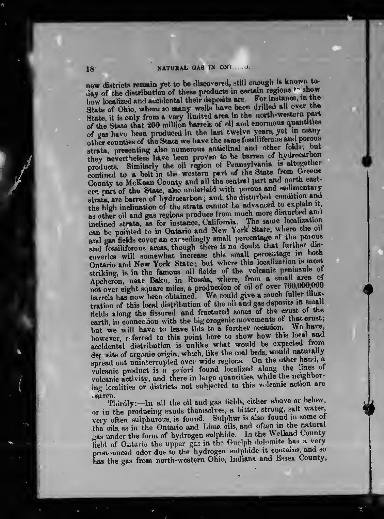new districts remain yet to be discovered, still enough is known today of the distribution of these products in certain regions  $t$  show how localized and accidental their deposits are. For instance, in the State of Ohio, where so many wells have been drilled all over the State, it is only from <sup>a</sup> very limited area in the north-western part of the State that 200 million barrels of oil and enormous quantities of gas have been produced in the last twelve years, yet in many other counties of the State we have the same fossiliferous and porous strata, presenting also numerous anticlinal and other folds; but they nevertheless have been proven to be barren of hydrocarbon products. Similarly the oil region of Pennsylvania is altogether confined to <sup>a</sup> belt in the western part of the State from Greene County to McKean County and all the central part and north easterr. part of the State, also underlaid with porous and sedimentary strats, are barren of hydrocarbon; and, the disturbed condition and the high inclination of the strata cannot be advanced to explain it, as other oil and gas regions produce from much more disturbed and inclined strata, as for instance, California. The same localization can be pointed to in Ontario and New York State, where the oil and gas fields cover an exreedingly small percentage of the porous and fossiliferous areas, though there is no doubt that further discoveries will somewhat increase this small percentage in both Ontario and New York State; but where this localization is most striking, is in the famous oil fields of the volcanic peninsula of Apcheron, near Baku, in Russia, where, from a small area of not over eight square miles, <sup>a</sup> production of oil of over 700,000,000 barrels has now been obtained. Wo could give <sup>a</sup> much fuller illustration of this local distribution of the oil and gas deposits in small fields along the fissured and fractured zones of the crust of the earth, in connection with the big orogenic movements of that crust; but we will have to leave this to a further occasion. We have, however, referred to this point here to show how this local and accidental distribution is unlike what would be expected trom deposits of crganic origin, which, like the coal beds, would naturally spread out uninterrupted over wide regions. On the other hand, <sup>a</sup> volcanic product is  $\alpha$  priori found localized along the lines of volcanic activity, and there in laige quantities, while the neighboring localities or districts not subjected to this volcanic action are

uarren.<br>
Thirdly:—In all the oil and gas fields, either above or below, or in the producing sands themselves, <sup>a</sup> bitter, strong, salt water very often sulphurous, is found. Sulphur is also found in some ot the oils, as in the Ontario and Lima oils, and often in the natural gas under the form of hydrogen sulphide. In the Welland County field of Ontario the upper gas in the Guelph dolomite has a very pronounced odor due to the hydrogen sulphide it contains, and so has the gas from north-wcstem Ohio, Indiana and Essex County,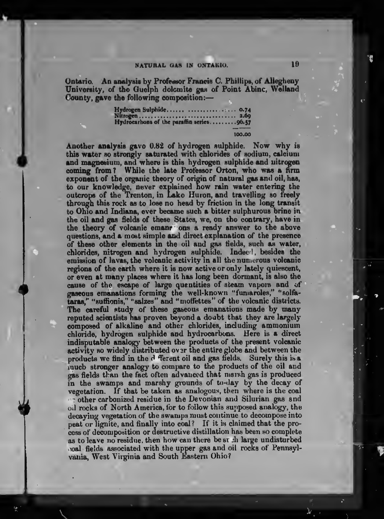Ontario. An analysis by Professor Francis C. Phillips, of Allegheny University, of the Guelph dolomite gas of Point Abinc, Welland County, gave the following composition:-

| Hydrogen Sulphide  0.74                  |     |
|------------------------------------------|-----|
| Nitrogen 2.69                            |     |
| Hydrocarbons of the paraffin series96.57 |     |
|                                          | ___ |

100.00

Another analysis gave 0.82 of hydrogen sulphide. Now why is thia water ao strongly saturated with chlorides of sodium, calcium and magnesium, and where is this hydrogen sulphide and nitrogen coming from? While the late Professor Orton, who was a firm exponent of the organic theory of origin of natural gas and oil, has, to our knowledge, never explained how rain water entering the outcrops of the Trenton, in Lako Huron, and travelling so freely through this rock as to lose no head by friction in the long transit to Ohio and Indiana, ever became such a bitter sulphurous brine in the oil and gas fields of these States, we, on the contrary, have in the theory of volcanic emanr ons a ready answer to the above questions, and a most simple and direct explanation of the presence of these other elements in the oil aud gas tields, such as water, chlorides, nitrogen and hydrogen sulphide. Indeed, besides the emission of lavas, the volcanic activity in all the numerous volcanic regions of the earth where it is now active or only lately quiescent, or even at many places where it has long been dormant, is also the cause of the escape of large quantities of steam vapors and of gaseous emanations forming the well-known "funiaroles," "solfataras," "suffionis," "salzes" and "motiettes" of the volcanic districts. The careful study of these gaseous emanations made by many reputed scientists has proven beyond a doubt that they are largely composed of alkaline and other chlorides, including ammonium chloride, hydrogen sulphide and hydrocarbons. Here is a direct indisputable analogy between the products of the present volcanic activity so widely distributed over the entire globe and between the products we find in the d ferent oil and gas fields. Surely this is a much stronger analogy to compare to the products of the oil and gas fields than the fact often advanced that marsh gas is produced in the swamps and marshy grounds of to-day by the decay of vegetation. If that be taken as analogous, then where is the coal ' other carbonized residue in the Devonian and Silurian gas and oil rocks of North America, for to follow this supposed analogy, the decaying vegetation of the swamps must continue to decompose into peat or lignite, and finally into coal? If it is claimed that the process of decomposition or destructive distillation has been so complete as to leave no residue, then how can there be such large undisturbed oal fields associated with the upper gas and oil rocks of Pennsylvania, West Virginia and South Eastern Ohio?